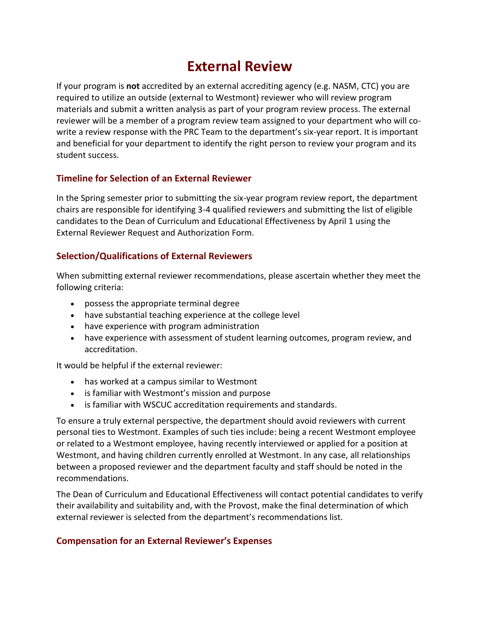## **External Review**

If your program is **not** accredited by an external accrediting agency (e.g. NASM, CTC) you are required to utilize an outside (external to Westmont) reviewer who will review program materials and submit a written analysis as part of your program review process. The external reviewer will be a member of a program review team assigned to your department who will cowrite a review response with the PRC Team to the department's six-year report. It is important and beneficial for your department to identify the right person to review your program and its student success.

#### **Timeline for Selection of an External Reviewer**

In the Spring semester prior to submitting the six-year program review report, the department chairs are responsible for identifying 3-4 qualified reviewers and submitting the list of eligible candidates to the Dean of Curriculum and Educational Effectiveness by April 1 using the External Reviewer Request and Authorization Form.

## **Selection/Qualifications of External Reviewers**

When submitting external reviewer recommendations, please ascertain whether they meet the following criteria:

- possess the appropriate terminal degree
- have substantial teaching experience at the college level
- have experience with program administration
- have experience with assessment of student learning outcomes, program review, and accreditation.

It would be helpful if the external reviewer:

- has worked at a campus similar to Westmont
- is familiar with Westmont's mission and purpose
- is familiar with WSCUC accreditation requirements and standards.

To ensure a truly external perspective, the department should avoid reviewers with current personal ties to Westmont. Examples of such ties include: being a recent Westmont employee or related to a Westmont employee, having recently interviewed or applied for a position at Westmont, and having children currently enrolled at Westmont. In any case, all relationships between a proposed reviewer and the department faculty and staff should be noted in the recommendations.

The Dean of Curriculum and Educational Effectiveness will contact potential candidates to verify their availability and suitability and, with the Provost, make the final determination of which external reviewer is selected from the department's recommendations list.

#### **Compensation for an External Reviewer's Expenses**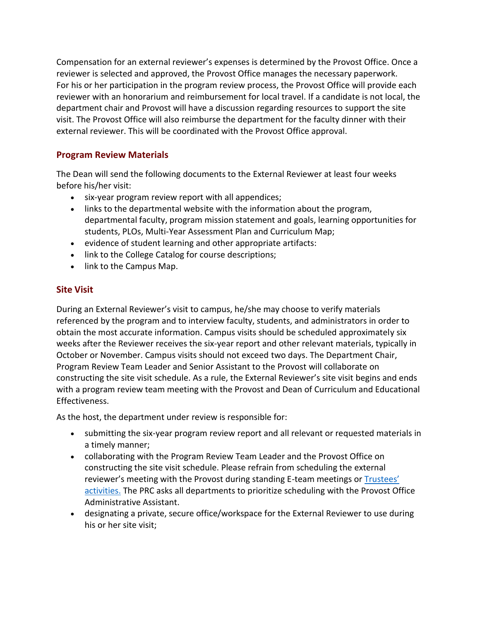Compensation for an external reviewer's expenses is determined by the Provost Office. Once a reviewer is selected and approved, the Provost Office manages the necessary paperwork. For his or her participation in the program review process, the Provost Office will provide each reviewer with an honorarium and reimbursement for local travel. If a candidate is not local, the department chair and Provost will have a discussion regarding resources to support the site visit. The Provost Office will also reimburse the department for the faculty dinner with their external reviewer. This will be coordinated with the Provost Office approval.

## **Program Review Materials**

The Dean will send the following documents to the External Reviewer at least four weeks before his/her visit:

- six-year program review report with all appendices;
- links to the departmental website with the information about the program, departmental faculty, program mission statement and goals, learning opportunities for students, PLOs, Multi-Year Assessment Plan and Curriculum Map;
- evidence of student learning and other appropriate artifacts:
- link to the College Catalog for course descriptions;
- link to the Campus Map.

## **Site Visit**

During an External Reviewer's visit to campus, he/she may choose to verify materials referenced by the program and to interview faculty, students, and administrators in order to obtain the most accurate information. Campus visits should be scheduled approximately six weeks after the Reviewer receives the six-year report and other relevant materials, typically in October or November. Campus visits should not exceed two days. The Department Chair, Program Review Team Leader and Senior Assistant to the Provost will collaborate on constructing the site visit schedule. As a rule, the External Reviewer's site visit begins and ends with a program review team meeting with the Provost and Dean of Curriculum and Educational Effectiveness.

As the host, the department under review is responsible for:

- submitting the six-year program review report and all relevant or requested materials in a timely manner;
- collaborating with the Program Review Team Leader and the Provost Office on constructing the site visit schedule. Please refrain from scheduling the external reviewer's meeting with the Provost during standing E-team meetings or [Trustees'](https://www.westmont.edu/trustee/)  [activities.](https://www.westmont.edu/trustee/) The PRC asks all departments to prioritize scheduling with the Provost Office Administrative Assistant.
- designating a private, secure office/workspace for the External Reviewer to use during his or her site visit;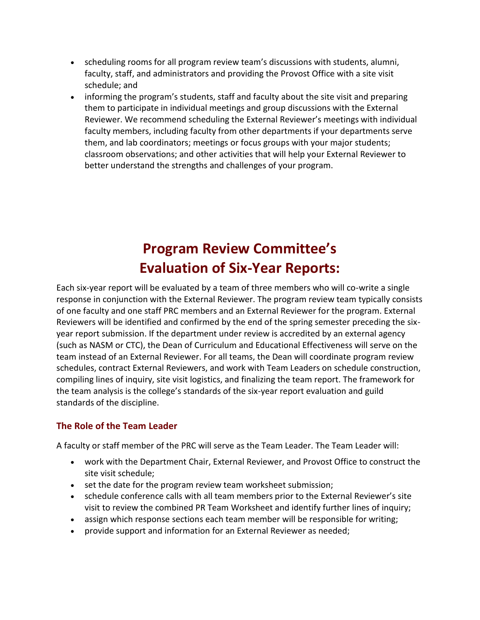- scheduling rooms for all program review team's discussions with students, alumni, faculty, staff, and administrators and providing the Provost Office with a site visit schedule; and
- informing the program's students, staff and faculty about the site visit and preparing them to participate in individual meetings and group discussions with the External Reviewer. We recommend scheduling the External Reviewer's meetings with individual faculty members, including faculty from other departments if your departments serve them, and lab coordinators; meetings or focus groups with your major students; classroom observations; and other activities that will help your External Reviewer to better understand the strengths and challenges of your program.

# **Program Review Committee's Evaluation of Six-Year Reports:**

Each six-year report will be evaluated by a team of three members who will co-write a single response in conjunction with the External Reviewer. The program review team typically consists of one faculty and one staff PRC members and an External Reviewer for the program. External Reviewers will be identified and confirmed by the end of the spring semester preceding the sixyear report submission. If the department under review is accredited by an external agency (such as NASM or CTC), the Dean of Curriculum and Educational Effectiveness will serve on the team instead of an External Reviewer. For all teams, the Dean will coordinate program review schedules, contract External Reviewers, and work with Team Leaders on schedule construction, compiling lines of inquiry, site visit logistics, and finalizing the team report. The framework for the team analysis is the college's standards of the six-year report evaluation and guild standards of the discipline.

## **The Role of the Team Leader**

A faculty or staff member of the PRC will serve as the Team Leader. The Team Leader will:

- work with the Department Chair, External Reviewer, and Provost Office to construct the site visit schedule;
- set the date for the program review team worksheet submission;
- schedule conference calls with all team members prior to the External Reviewer's site visit to review the combined PR Team Worksheet and identify further lines of inquiry;
- assign which response sections each team member will be responsible for writing;
- provide support and information for an External Reviewer as needed;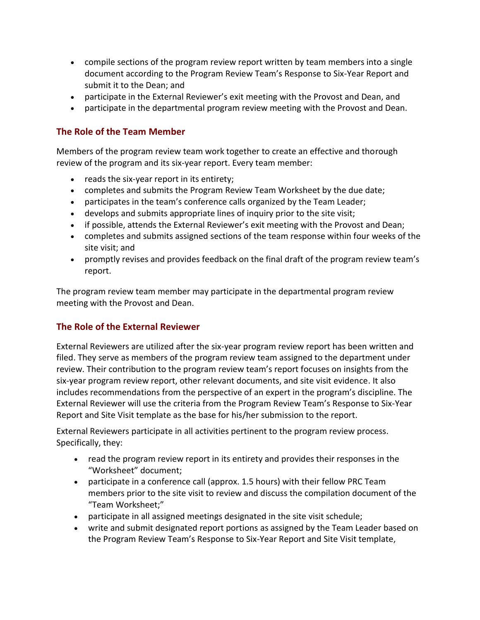- compile sections of the program review report written by team members into a single document according to the Program Review Team's Response to Six-Year Report and submit it to the Dean; and
- participate in the External Reviewer's exit meeting with the Provost and Dean, and
- participate in the departmental program review meeting with the Provost and Dean.

## **The Role of the Team Member**

Members of the program review team work together to create an effective and thorough review of the program and its six-year report. Every team member:

- reads the six-year report in its entirety;
- completes and submits the Program Review Team Worksheet by the due date;
- participates in the team's conference calls organized by the Team Leader;
- develops and submits appropriate lines of inquiry prior to the site visit;
- if possible, attends the External Reviewer's exit meeting with the Provost and Dean;
- completes and submits assigned sections of the team response within four weeks of the site visit; and
- promptly revises and provides feedback on the final draft of the program review team's report.

The program review team member may participate in the departmental program review meeting with the Provost and Dean.

## **The Role of the External Reviewer**

External Reviewers are utilized after the six-year program review report has been written and filed. They serve as members of the program review team assigned to the department under review. Their contribution to the program review team's report focuses on insights from the six-year program review report, other relevant documents, and site visit evidence. It also includes recommendations from the perspective of an expert in the program's discipline. The External Reviewer will use the criteria from the Program Review Team's Response to Six-Year Report and Site Visit template as the base for his/her submission to the report.

External Reviewers participate in all activities pertinent to the program review process. Specifically, they:

- read the program review report in its entirety and provides their responses in the "Worksheet" document;
- participate in a conference call (approx. 1.5 hours) with their fellow PRC Team members prior to the site visit to review and discuss the compilation document of the "Team Worksheet;"
- participate in all assigned meetings designated in the site visit schedule;
- write and submit designated report portions as assigned by the Team Leader based on the Program Review Team's Response to Six-Year Report and Site Visit template,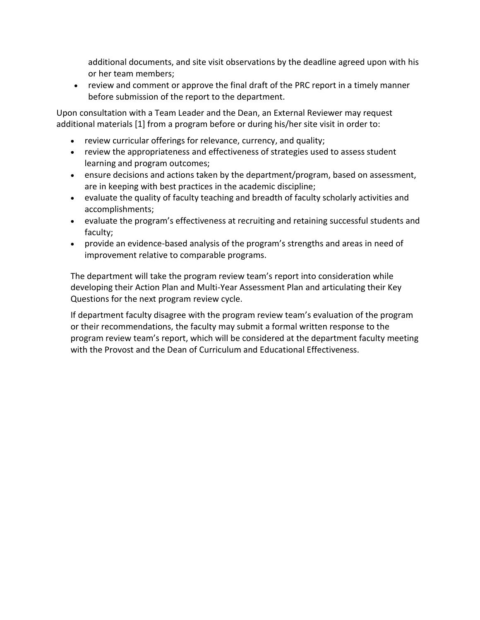additional documents, and site visit observations by the deadline agreed upon with his or her team members;

 review and comment or approve the final draft of the PRC report in a timely manner before submission of the report to the department.

Upon consultation with a Team Leader and the Dean, an External Reviewer may request additional materials [1] from a program before or during his/her site visit in order to:

- review curricular offerings for relevance, currency, and quality;
- review the appropriateness and effectiveness of strategies used to assess student learning and program outcomes;
- ensure decisions and actions taken by the department/program, based on assessment, are in keeping with best practices in the academic discipline;
- evaluate the quality of faculty teaching and breadth of faculty scholarly activities and accomplishments;
- evaluate the program's effectiveness at recruiting and retaining successful students and faculty;
- provide an evidence-based analysis of the program's strengths and areas in need of improvement relative to comparable programs.

The department will take the program review team's report into consideration while developing their Action Plan and Multi-Year Assessment Plan and articulating their Key Questions for the next program review cycle.

If department faculty disagree with the program review team's evaluation of the program or their recommendations, the faculty may submit a formal written response to the program review team's report, which will be considered at the department faculty meeting with the Provost and the Dean of Curriculum and Educational Effectiveness.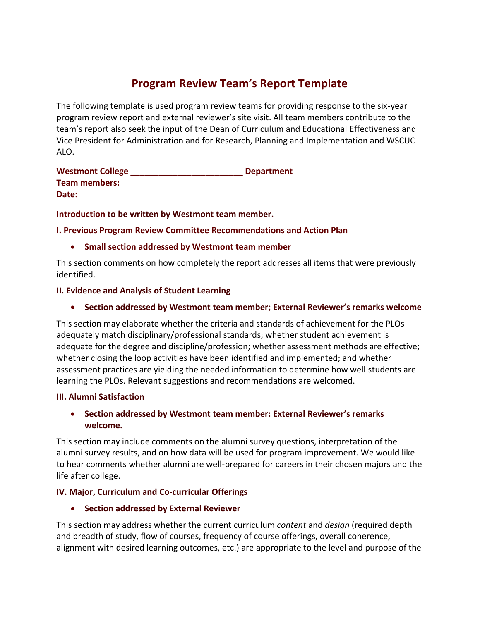## **Program Review Team's Report Template**

The following template is used program review teams for providing response to the six-year program review report and external reviewer's site visit. All team members contribute to the team's report also seek the input of the Dean of Curriculum and Educational Effectiveness and Vice President for Administration and for Research, Planning and Implementation and WSCUC ALO.

| <b>Westmont College</b> | <b>Department</b> |
|-------------------------|-------------------|
| <b>Team members:</b>    |                   |
| Date:                   |                   |

**Introduction to be written by Westmont team member.**

**I. Previous Program Review Committee Recommendations and Action Plan**

#### **Small section addressed by Westmont team member**

This section comments on how completely the report addresses all items that were previously identified.

#### **II. Evidence and Analysis of Student Learning**

#### **Section addressed by Westmont team member; External Reviewer's remarks welcome**

This section may elaborate whether the criteria and standards of achievement for the PLOs adequately match disciplinary/professional standards; whether student achievement is adequate for the degree and discipline/profession; whether assessment methods are effective; whether closing the loop activities have been identified and implemented; and whether assessment practices are yielding the needed information to determine how well students are learning the PLOs. Relevant suggestions and recommendations are welcomed.

#### **III. Alumni Satisfaction**

#### **Section addressed by Westmont team member: External Reviewer's remarks welcome.**

This section may include comments on the alumni survey questions, interpretation of the alumni survey results, and on how data will be used for program improvement. We would like to hear comments whether alumni are well-prepared for careers in their chosen majors and the life after college.

#### **IV. Major, Curriculum and Co-curricular Offerings**

**Section addressed by External Reviewer**

This section may address whether the current curriculum *content* and *design* (required depth and breadth of study, flow of courses, frequency of course offerings, overall coherence, alignment with desired learning outcomes, etc.) are appropriate to the level and purpose of the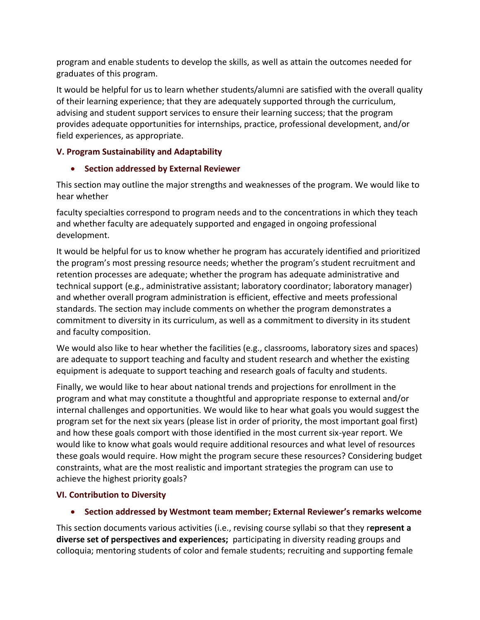program and enable students to develop the skills, as well as attain the outcomes needed for graduates of this program.

It would be helpful for us to learn whether students/alumni are satisfied with the overall quality of their learning experience; that they are adequately supported through the curriculum, advising and student support services to ensure their learning success; that the program provides adequate opportunities for internships, practice, professional development, and/or field experiences, as appropriate.

## **V. Program Sustainability and Adaptability**

## **Section addressed by External Reviewer**

This section may outline the major strengths and weaknesses of the program. We would like to hear whether

faculty specialties correspond to program needs and to the concentrations in which they teach and whether faculty are adequately supported and engaged in ongoing professional development.

It would be helpful for us to know whether he program has accurately identified and prioritized the program's most pressing resource needs; whether the program's student recruitment and retention processes are adequate; whether the program has adequate administrative and technical support (e.g., administrative assistant; laboratory coordinator; laboratory manager) and whether overall program administration is efficient, effective and meets professional standards. The section may include comments on whether the program demonstrates a commitment to diversity in its curriculum, as well as a commitment to diversity in its student and faculty composition.

We would also like to hear whether the facilities (e.g., classrooms, laboratory sizes and spaces) are adequate to support teaching and faculty and student research and whether the existing equipment is adequate to support teaching and research goals of faculty and students.

Finally, we would like to hear about national trends and projections for enrollment in the program and what may constitute a thoughtful and appropriate response to external and/or internal challenges and opportunities. We would like to hear what goals you would suggest the program set for the next six years (please list in order of priority, the most important goal first) and how these goals comport with those identified in the most current six-year report. We would like to know what goals would require additional resources and what level of resources these goals would require. How might the program secure these resources? Considering budget constraints, what are the most realistic and important strategies the program can use to achieve the highest priority goals?

#### **VI. Contribution to Diversity**

**Section addressed by Westmont team member; External Reviewer's remarks welcome**

This section documents various activities (i.e., revising course syllabi so that they r**epresent a diverse set of perspectives and experiences;** participating in diversity reading groups and colloquia; mentoring students of color and female students; recruiting and supporting female